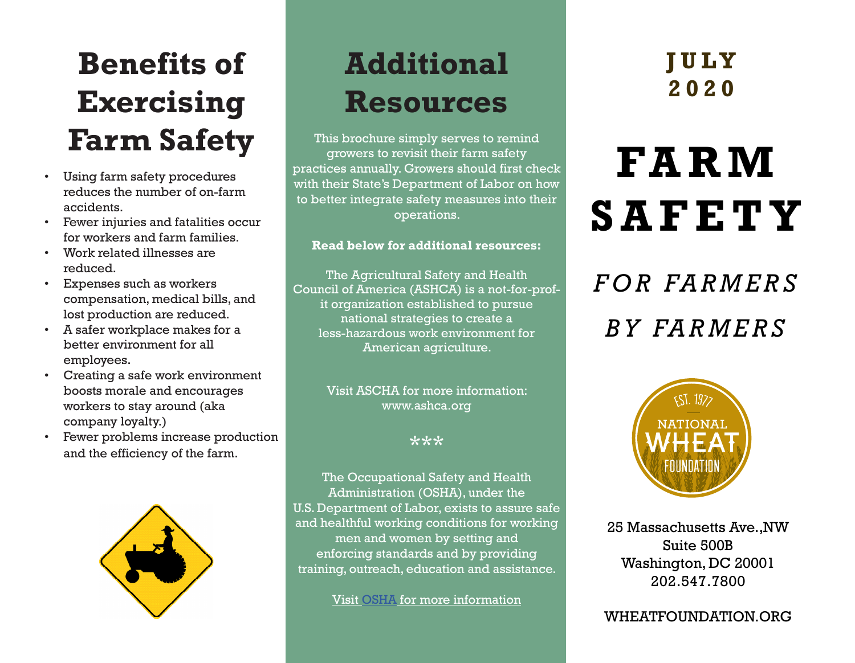### **Benefits of Exercising Farm Safety**

- Using farm safety procedures reduces the number of on-farm accidents.
- Fewer injuries and fatalities occur for workers and farm families.
- Work related illnesses are reduced.
- Expenses such as workers compensation, medical bills, and lost production are reduced.
- A safer workplace makes for a better environment for all employees.
- Creating a safe work environment boosts morale and encourages workers to stay around (aka company loyalty.)
- Fewer problems increase production and the efficiency of the farm.



### **Additional Resources**

This brochure simply serves to remind growers to revisit their farm safety practices annually. Growers should first check with their State's Department of Labor on how to better integrate safety measures into their operations.

#### **Read below for additional resources:**

The Agricultural Safety and Health Council of America (ASHCA) is a not-for-profit organization established to pursue national strategies to create a less-hazardous work environment for American agriculture.

> Visit ASCHA for more information: www.ashca.org

> > \*\*\*

The Occupational Safety and Health Administration (OSHA), under the U.S. Department of Labor, exists to assure safe and healthful working conditions for working men and women by setting and enforcing standards and by providing training, outreach, education and assistance.

Visit OSHA for more information

#### **J U LY 2020**

# **FA R M SAFETY**

## *F O R FA R M E R S BY FARMERS*



25 Massachusetts Ave.,NW Suite 500B Washington, DC 20001 202.547.7800

WHEATFOUNDATION.ORG